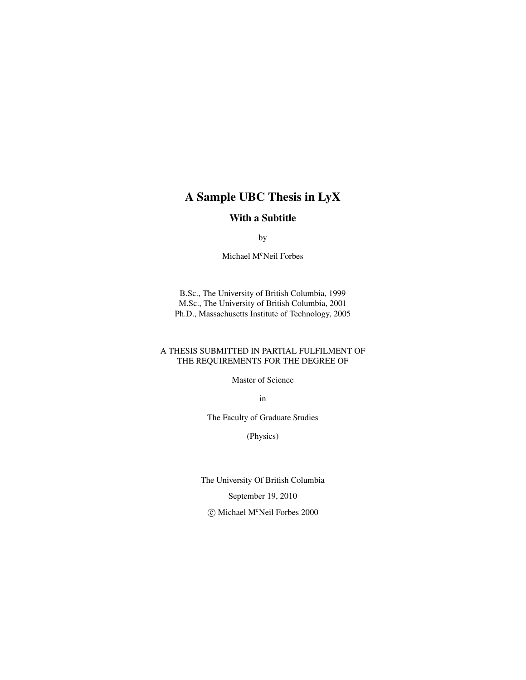### A Sample UBC Thesis in LyX

#### With a Subtitle

by

Michael M<sup>c</sup>Neil Forbes

B.Sc., The University of British Columbia, 1999 M.Sc., The University of British Columbia, 2001 Ph.D., Massachusetts Institute of Technology, 2005

#### A THESIS SUBMITTED IN PARTIAL FULFILMENT OF THE REQUIREMENTS FOR THE DEGREE OF

Master of Science

in

The Faculty of Graduate Studies

(Physics)

The University Of British Columbia

September 19, 2010

© Michael M<sup>c</sup>Neil Forbes 2000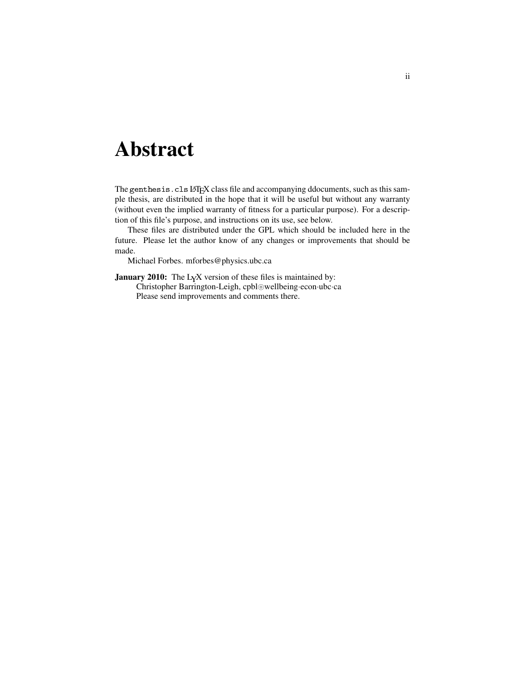## <span id="page-1-0"></span>Abstract

The genthesis.cls LATEX class file and accompanying ddocuments, such as this sample thesis, are distributed in the hope that it will be useful but without any warranty (without even the implied warranty of fitness for a particular purpose). For a description of this file's purpose, and instructions on its use, see below.

These files are distributed under the GPL which should be included here in the future. Please let the author know of any changes or improvements that should be made.

Michael Forbes. mforbes@physics.ubc.ca

January 2010: The LyX version of these files is maintained by:

Christopher Barrington-Leigh, cpbl@wellbeing·econ·ubc·ca

Please send improvements and comments there.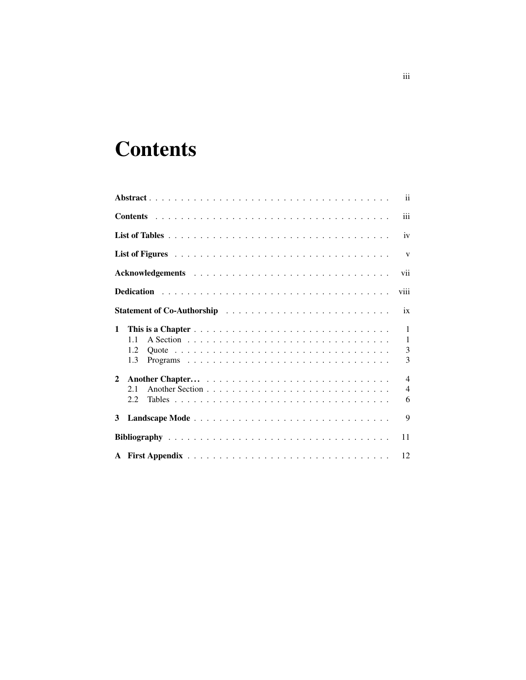# <span id="page-2-0"></span>**Contents**

|              |     | $\mathbf{ii}$  |
|--------------|-----|----------------|
|              |     | iii            |
|              |     | iv             |
|              |     | $\mathbf{V}$   |
|              |     | vii            |
|              |     | viii           |
|              |     | ix             |
| $\mathbf{1}$ |     | $\mathbf{1}$   |
|              | 11  | $\mathbf{1}$   |
|              | 1.2 | 3              |
|              | 1.3 | 3              |
| $\mathbf{2}$ |     | $\overline{4}$ |
|              | 2.1 | $\overline{4}$ |
|              | 2.2 | 6              |
| 3            |     | 9              |
|              |     | 11             |
|              |     | 12             |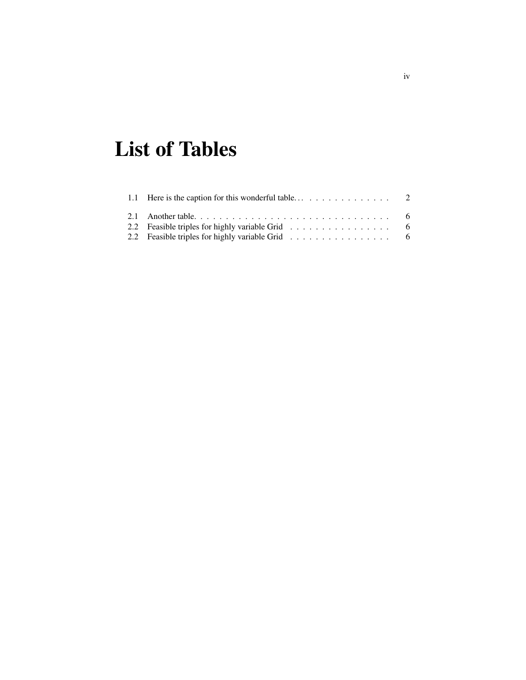# <span id="page-3-0"></span>List of Tables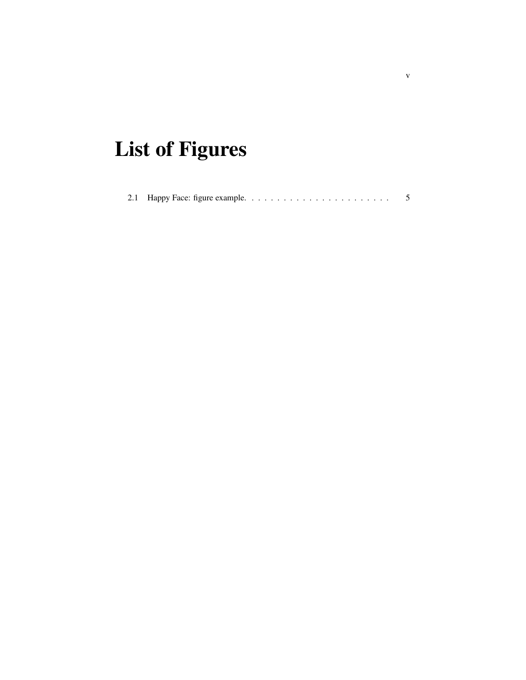# <span id="page-4-0"></span>List of Figures

|--|--|--|--|--|--|--|--|--|--|--|--|--|--|--|--|--|--|--|--|--|--|--|--|--|

v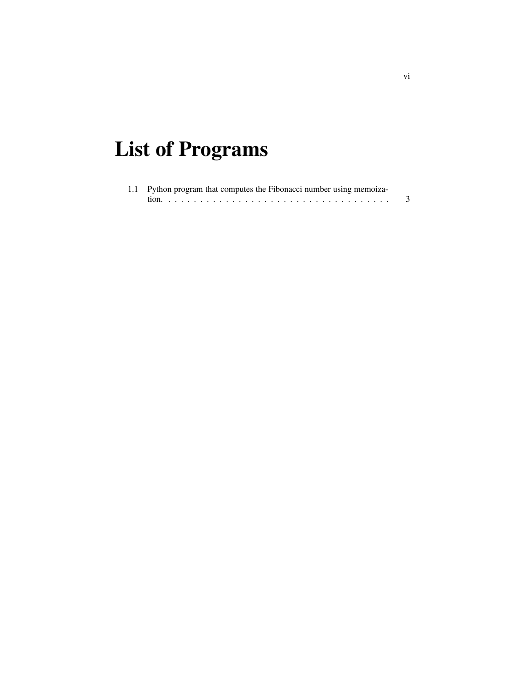# List of Programs

| 1.1 Python program that computes the Fibonacci number using memoiza- |  |
|----------------------------------------------------------------------|--|
|                                                                      |  |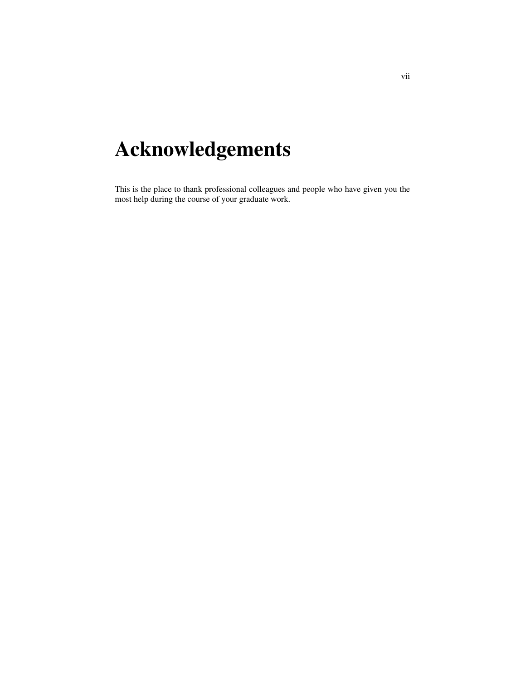# <span id="page-6-0"></span>Acknowledgements

This is the place to thank professional colleagues and people who have given you the most help during the course of your graduate work.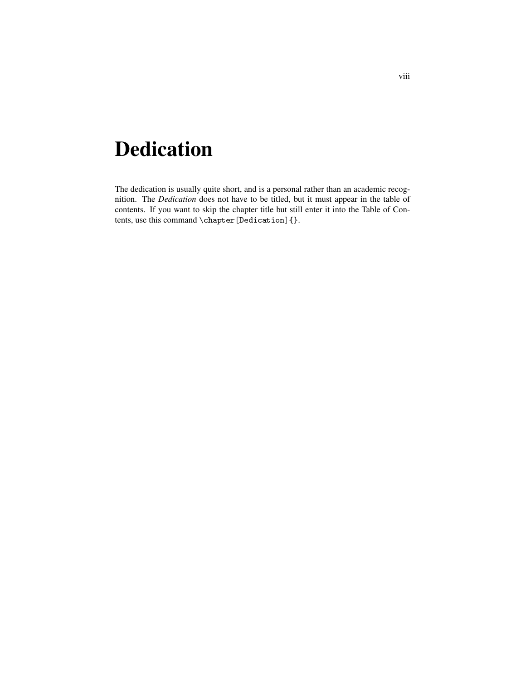## <span id="page-7-0"></span>Dedication

The dedication is usually quite short, and is a personal rather than an academic recognition. The *Dedication* does not have to be titled, but it must appear in the table of contents. If you want to skip the chapter title but still enter it into the Table of Contents, use this command  $\Lambda$  thap ter [Dedication] { }.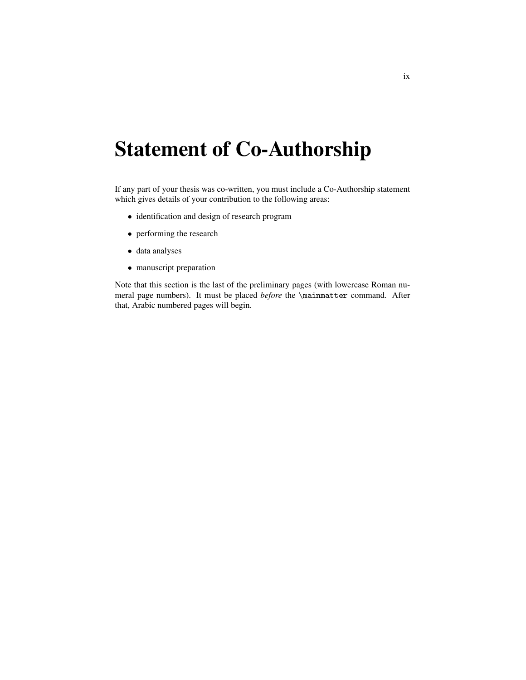## <span id="page-8-0"></span>Statement of Co-Authorship

If any part of your thesis was co-written, you must include a Co-Authorship statement which gives details of your contribution to the following areas:

- identification and design of research program
- performing the research
- data analyses
- manuscript preparation

Note that this section is the last of the preliminary pages (with lowercase Roman numeral page numbers). It must be placed *before* the \mainmatter command. After that, Arabic numbered pages will begin.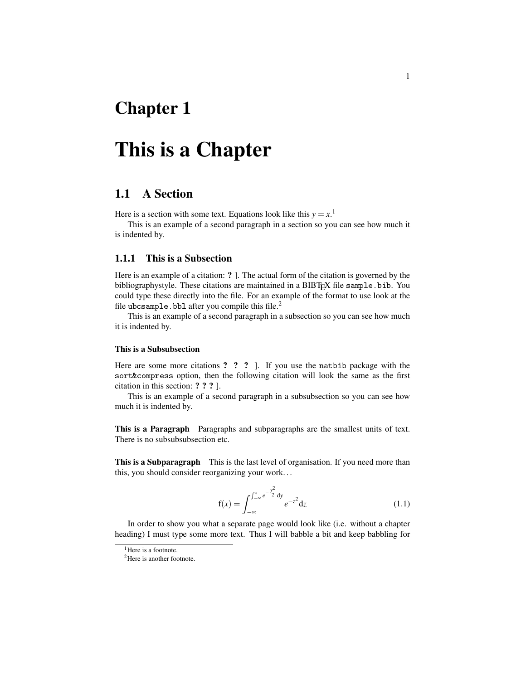### <span id="page-9-0"></span>Chapter 1

### This is a Chapter

### <span id="page-9-1"></span>1.1 A Section

Here is a section with some text. Equations look like this  $y = x$ .<sup>[1](#page-9-2)</sup>

This is an example of a second paragraph in a section so you can see how much it is indented by.

#### 1.1.1 This is a Subsection

Here is an example of a citation: ? ]. The actual form of the citation is governed by the bibliographystyle. These citations are maintained in a BIBTEX file sample.bib. You could type these directly into the file. For an example of the format to use look at the file ubcsample.bbl after you compile this file.<sup>[2](#page-9-3)</sup>

This is an example of a second paragraph in a subsection so you can see how much it is indented by.

#### This is a Subsubsection

Here are some more citations ? ? ? ]. If you use the natbib package with the sort&compress option, then the following citation will look the same as the first citation in this section: ? ? ? ].

This is an example of a second paragraph in a subsubsection so you can see how much it is indented by.

This is a Paragraph Paragraphs and subparagraphs are the smallest units of text. There is no subsubsubsection etc.

This is a Subparagraph This is the last level of organisation. If you need more than this, you should consider reorganizing your work. . .

$$
f(x) = \int_{-\infty}^{x} e^{-\frac{y^2}{2}} dy e^{-z^2} dz
$$
 (1.1)

In order to show you what a separate page would look like (i.e. without a chapter heading) I must type some more text. Thus I will babble a bit and keep babbling for

<span id="page-9-2"></span><sup>&</sup>lt;sup>1</sup>Here is a footnote.

<span id="page-9-3"></span><sup>&</sup>lt;sup>2</sup>Here is another footnote.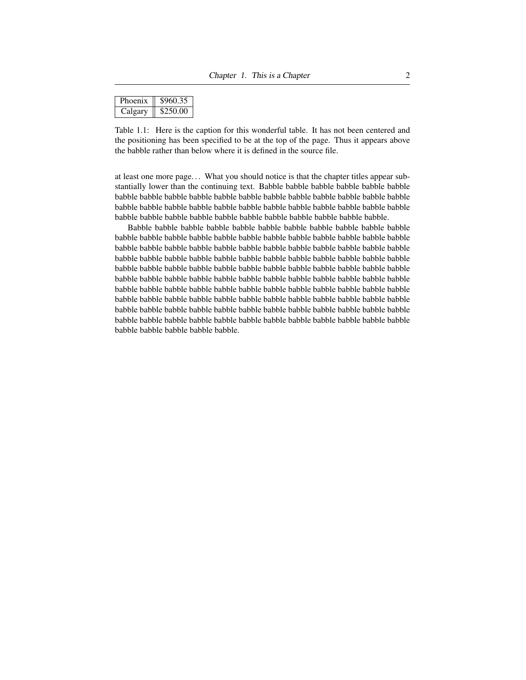| <b>Phoenix</b> | \$960.35 |
|----------------|----------|
| $Calg$ ary     | \$250.00 |

<span id="page-10-0"></span>Table 1.1: Here is the caption for this wonderful table. It has not been centered and the positioning has been specified to be at the top of the page. Thus it appears above the babble rather than below where it is defined in the source file.

at least one more page. . . What you should notice is that the chapter titles appear substantially lower than the continuing text. Babble babble babble babble babble babble babble babble babble babble babble babble babble babble babble babble babble babble babble babble babble babble babble babble babble babble babble babble babble babble babble babble babble babble babble babble babble babble babble babble babble.

Babble babble babble babble babble babble babble babble babble babble babble babble babble babble babble babble babble babble babble babble babble babble babble babble babble babble babble babble babble babble babble babble babble babble babble babble babble babble babble babble babble babble babble babble babble babble babble babble babble babble babble babble babble babble babble babble babble babble babble babble babble babble babble babble babble babble babble babble babble babble babble babble babble babble babble babble babble babble babble babble babble babble babble babble babble babble babble babble babble babble babble babble babble babble babble babble babble babble babble babble babble babble babble babble babble babble babble babble babble babble babble babble babble babble babble babble babble babble babble babble babble babble babble babble.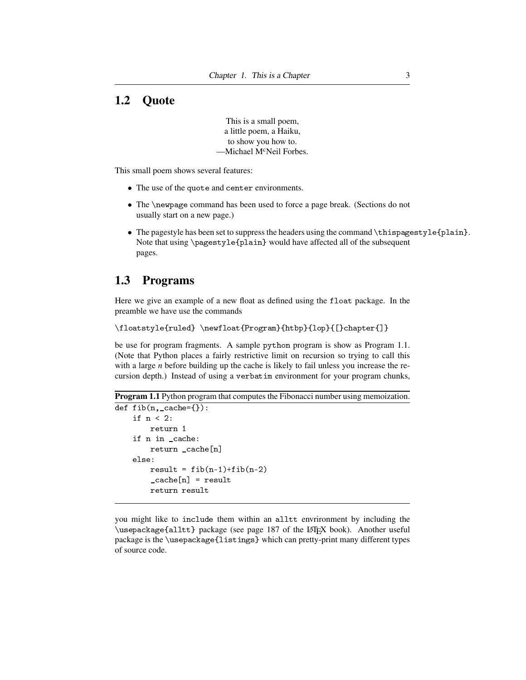### <span id="page-11-0"></span>1.2 Quote

This is a small poem, a little poem, a Haiku, to show you how to. -Michael M<sup>c</sup>Neil Forbes.

This small poem shows several features:

- The use of the quote and center environments.
- The \newpage command has been used to force a page break. (Sections do not usually start on a new page.)
- The pagestyle has been set to suppress the headers using the command \thispagestyle{plain}. Note that using \pagestyle{plain} would have affected all of the subsequent pages.

### <span id="page-11-1"></span>1.3 Programs

Here we give an example of a new float as defined using the float package. In the preamble we have use the commands

\floatstyle{ruled} \newfloat{Program}{htbp}{lop}{[}chapter{]}

be use for program fragments. A sample python program is show as Program [1.1.](#page-11-2) (Note that Python places a fairly restrictive limit on recursion so trying to call this with a large *n* before building up the cache is likely to fail unless you increase the recursion depth.) Instead of using a verbatim environment for your program chunks,

```
Program 1.1 Python program that computes the Fibonacci number using memoization.
```

```
def fib(n, _cache={}):
if n < 2:
    return 1
if n in _cache:
    return _cache[n]
else:
    result = fib(n-1)+fib(n-2)\c{cache[n]} = result
    return result
```
you might like to include them within an alltt envrironment by including the \usepackage{alltt} package (see page 187 of the LAT<sub>EX</sub> book). Another useful package is the \usepackage{listings} which can pretty-print many different types of source code.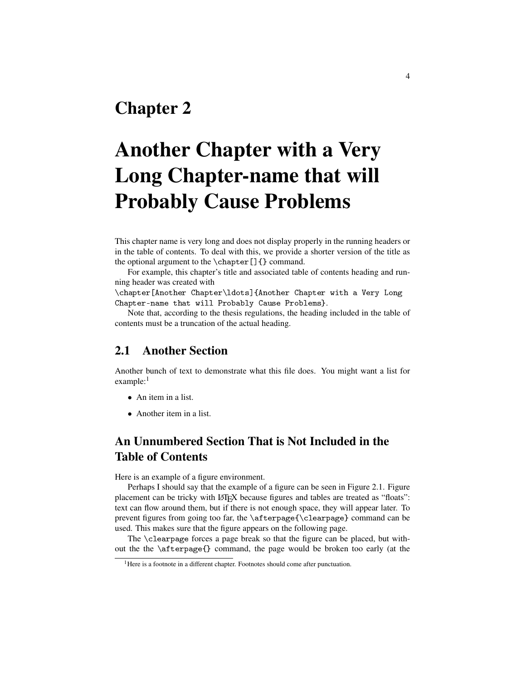### <span id="page-12-0"></span>Chapter 2

# Another Chapter with a Very Long Chapter-name that will Probably Cause Problems

This chapter name is very long and does not display properly in the running headers or in the table of contents. To deal with this, we provide a shorter version of the title as the optional argument to the  $\char'$   $\char'$  chapter []  $\char'$  command.

For example, this chapter's title and associated table of contents heading and running header was created with

\chapter[Another Chapter\ldots]{Another Chapter with a Very Long Chapter-name that will Probably Cause Problems}.

Note that, according to the thesis regulations, the heading included in the table of contents must be a truncation of the actual heading.

### <span id="page-12-1"></span>2.1 Another Section

Another bunch of text to demonstrate what this file does. You might want a list for example:<sup>[1](#page-12-2)</sup>

- An item in a list.
- Another item in a list.

### An Unnumbered Section That is Not Included in the Table of Contents

Here is an example of a figure environment.

Perhaps I should say that the example of a figure can be seen in Figure [2.1.](#page-13-0) Figure placement can be tricky with LATEX because figures and tables are treated as "floats": text can flow around them, but if there is not enough space, they will appear later. To prevent figures from going too far, the \afterpage{\clearpage} command can be used. This makes sure that the figure appears on the following page.

The \clearpage forces a page break so that the figure can be placed, but without the the \afterpage{} command, the page would be broken too early (at the

<span id="page-12-2"></span><sup>&</sup>lt;sup>1</sup>Here is a footnote in a different chapter. Footnotes should come after punctuation.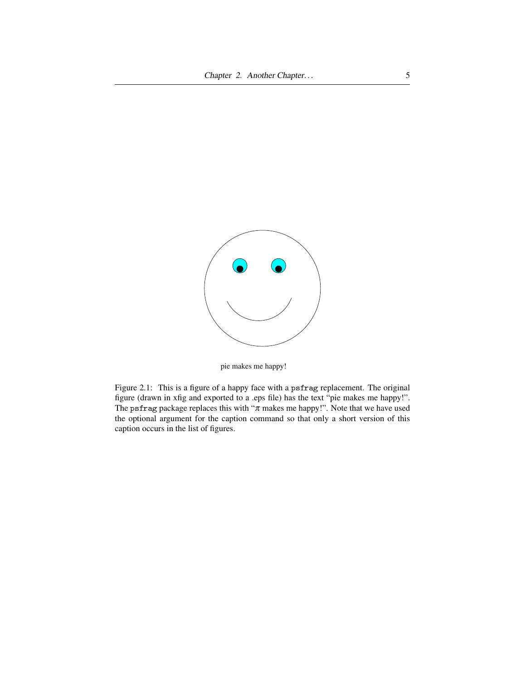

pie makes me happy!

<span id="page-13-0"></span>Figure 2.1: This is a figure of a happy face with a psfrag replacement. The original figure (drawn in xfig and exported to a .eps file) has the text "pie makes me happy!". The psfrag package replaces this with " $\pi$  makes me happy!". Note that we have used the optional argument for the caption command so that only a short version of this caption occurs in the list of figures.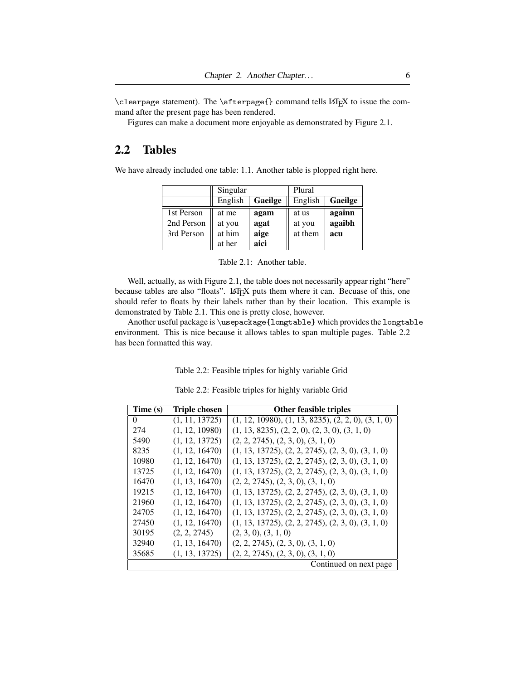$\clap{\c{} command tells LAFX to issue the com$ mand after the present page has been rendered.

Figures can make a document more enjoyable as demonstrated by Figure [2.1.](#page-13-0)

### <span id="page-14-0"></span>2.2 Tables

We have already included one table: [1.1.](#page-10-0) Another table is plopped right here.

|            | Singular |                | Plural  |         |  |  |  |
|------------|----------|----------------|---------|---------|--|--|--|
|            | English  | <b>Gaeilge</b> | English | Gaeilge |  |  |  |
| 1st Person | at me    | agam           | at us   | againn  |  |  |  |
| 2nd Person | at you   | agat           | at you  | agaibh  |  |  |  |
| 3rd Person | at him   | aige           | at them | acu     |  |  |  |
|            | at her   | aici           |         |         |  |  |  |

<span id="page-14-1"></span>

| Table 2.1: Another table. |
|---------------------------|
|                           |

Well, actually, as with Figure [2.1,](#page-13-0) the table does not necessarily appear right "here" because tables are also "floats". LATEX puts them where it can. Becuase of this, one should refer to floats by their labels rather than by their location. This example is demonstrated by Table [2.1.](#page-14-1) This one is pretty close, however.

Another useful package is \usepackage{longtable} which provides the longtable environment. This is nice because it allows tables to span multiple pages. Table [2.2](#page-14-2) has been formatted this way.

Table 2.2: Feasible triples for highly variable Grid

Table 2.2: Feasible triples for highly variable Grid

<span id="page-14-2"></span>

| Time (s) | Triple chosen  | <b>Other feasible triples</b>                         |
|----------|----------------|-------------------------------------------------------|
| 0        | (1, 11, 13725) | $(1, 12, 10980), (1, 13, 8235), (2, 2, 0), (3, 1, 0)$ |
| 274      | (1, 12, 10980) | $(1, 13, 8235), (2, 2, 0), (2, 3, 0), (3, 1, 0)$      |
| 5490     | (1, 12, 13725) | (2, 2, 2745), (2, 3, 0), (3, 1, 0)                    |
| 8235     | (1, 12, 16470) | $(1, 13, 13725), (2, 2, 2745), (2, 3, 0), (3, 1, 0)$  |
| 10980    | (1, 12, 16470) | $(1, 13, 13725), (2, 2, 2745), (2, 3, 0), (3, 1, 0)$  |
| 13725    | (1, 12, 16470) | $(1, 13, 13725), (2, 2, 2745), (2, 3, 0), (3, 1, 0)$  |
| 16470    | (1, 13, 16470) | (2, 2, 2745), (2, 3, 0), (3, 1, 0)                    |
| 19215    | (1, 12, 16470) | $(1, 13, 13725), (2, 2, 2745), (2, 3, 0), (3, 1, 0)$  |
| 21960    | (1, 12, 16470) | $(1, 13, 13725), (2, 2, 2745), (2, 3, 0), (3, 1, 0)$  |
| 24705    | (1, 12, 16470) | $(1, 13, 13725), (2, 2, 2745), (2, 3, 0), (3, 1, 0)$  |
| 27450    | (1, 12, 16470) | $(1, 13, 13725), (2, 2, 2745), (2, 3, 0), (3, 1, 0)$  |
| 30195    | (2, 2, 2745)   | (2, 3, 0), (3, 1, 0)                                  |
| 32940    | (1, 13, 16470) | (2, 2, 2745), (2, 3, 0), (3, 1, 0)                    |
| 35685    | (1, 13, 13725) | (2, 2, 2745), (2, 3, 0), (3, 1, 0)                    |
|          |                | Continued on next page                                |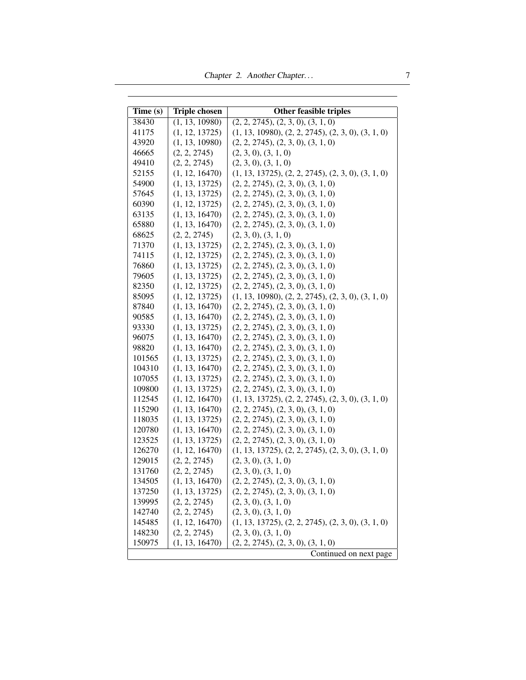Chapter 2. Another Chapter... 7

| Time (s) | <b>Triple chosen</b> | Other feasible triples                               |
|----------|----------------------|------------------------------------------------------|
| 38430    | (1, 13, 10980)       | (2, 2, 2745), (2, 3, 0), (3, 1, 0)                   |
| 41175    | (1, 12, 13725)       | $(1, 13, 10980), (2, 2, 2745), (2, 3, 0), (3, 1, 0)$ |
| 43920    | (1, 13, 10980)       | (2, 2, 2745), (2, 3, 0), (3, 1, 0)                   |
| 46665    | (2, 2, 2745)         | (2, 3, 0), (3, 1, 0)                                 |
| 49410    | (2, 2, 2745)         | (2, 3, 0), (3, 1, 0)                                 |
| 52155    | (1, 12, 16470)       | $(1, 13, 13725), (2, 2, 2745), (2, 3, 0), (3, 1, 0)$ |
| 54900    | (1, 13, 13725)       | (2, 2, 2745), (2, 3, 0), (3, 1, 0)                   |
| 57645    | (1, 13, 13725)       | (2, 2, 2745), (2, 3, 0), (3, 1, 0)                   |
| 60390    | (1, 12, 13725)       | (2, 2, 2745), (2, 3, 0), (3, 1, 0)                   |
| 63135    | (1, 13, 16470)       | (2, 2, 2745), (2, 3, 0), (3, 1, 0)                   |
| 65880    | (1, 13, 16470)       | (2, 2, 2745), (2, 3, 0), (3, 1, 0)                   |
| 68625    | (2, 2, 2745)         | (2, 3, 0), (3, 1, 0)                                 |
| 71370    | (1, 13, 13725)       | (2, 2, 2745), (2, 3, 0), (3, 1, 0)                   |
| 74115    | (1, 12, 13725)       | (2, 2, 2745), (2, 3, 0), (3, 1, 0)                   |
| 76860    | (1, 13, 13725)       | (2, 2, 2745), (2, 3, 0), (3, 1, 0)                   |
| 79605    | (1, 13, 13725)       | (2, 2, 2745), (2, 3, 0), (3, 1, 0)                   |
| 82350    | (1, 12, 13725)       | (2, 2, 2745), (2, 3, 0), (3, 1, 0)                   |
| 85095    | (1, 12, 13725)       | $(1, 13, 10980), (2, 2, 2745), (2, 3, 0), (3, 1, 0)$ |
| 87840    | (1, 13, 16470)       | (2, 2, 2745), (2, 3, 0), (3, 1, 0)                   |
| 90585    | (1, 13, 16470)       | (2, 2, 2745), (2, 3, 0), (3, 1, 0)                   |
| 93330    | (1, 13, 13725)       | (2, 2, 2745), (2, 3, 0), (3, 1, 0)                   |
| 96075    | (1, 13, 16470)       | (2, 2, 2745), (2, 3, 0), (3, 1, 0)                   |
| 98820    | (1, 13, 16470)       | (2, 2, 2745), (2, 3, 0), (3, 1, 0)                   |
| 101565   | (1, 13, 13725)       | (2, 2, 2745), (2, 3, 0), (3, 1, 0)                   |
| 104310   | (1, 13, 16470)       | (2, 2, 2745), (2, 3, 0), (3, 1, 0)                   |
| 107055   | (1, 13, 13725)       | (2, 2, 2745), (2, 3, 0), (3, 1, 0)                   |
| 109800   | (1, 13, 13725)       | (2, 2, 2745), (2, 3, 0), (3, 1, 0)                   |
| 112545   | (1, 12, 16470)       | $(1, 13, 13725), (2, 2, 2745), (2, 3, 0), (3, 1, 0)$ |
| 115290   | (1, 13, 16470)       | (2, 2, 2745), (2, 3, 0), (3, 1, 0)                   |
| 118035   | (1, 13, 13725)       | (2, 2, 2745), (2, 3, 0), (3, 1, 0)                   |
| 120780   | (1, 13, 16470)       | (2, 2, 2745), (2, 3, 0), (3, 1, 0)                   |
| 123525   | (1, 13, 13725)       | (2, 2, 2745), (2, 3, 0), (3, 1, 0)                   |
| 126270   | (1, 12, 16470)       | $(1, 13, 13725), (2, 2, 2745), (2, 3, 0), (3, 1, 0)$ |
| 129015   | (2, 2, 2745)         | (2, 3, 0), (3, 1, 0)                                 |
| 131760   | (2, 2, 2745)         | (2, 3, 0), (3, 1, 0)                                 |
| 134505   | (1, 13, 16470)       | (2, 2, 2745), (2, 3, 0), (3, 1, 0)                   |
| 137250   | (1, 13, 13725)       | (2, 2, 2745), (2, 3, 0), (3, 1, 0)                   |
| 139995   | (2, 2, 2745)         | (2, 3, 0), (3, 1, 0)                                 |
| 142740   | (2, 2, 2745)         | (2, 3, 0), (3, 1, 0)                                 |
| 145485   | (1, 12, 16470)       | $(1, 13, 13725), (2, 2, 2745), (2, 3, 0), (3, 1, 0)$ |
| 148230   | (2, 2, 2745)         | (2, 3, 0), (3, 1, 0)                                 |
| 150975   | (1, 13, 16470)       | (2, 2, 2745), (2, 3, 0), (3, 1, 0)                   |
|          |                      | Continued on next page                               |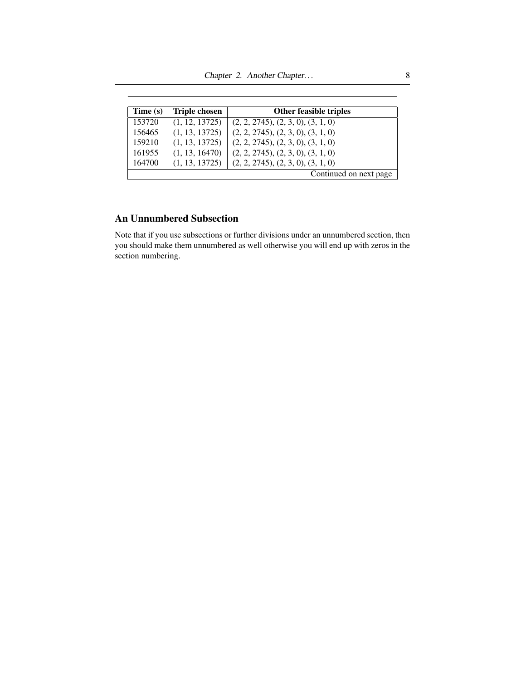Chapter 2. Another Chapter... 8

| Time (s) | <b>Triple chosen</b> | <b>Other feasible triples</b>      |
|----------|----------------------|------------------------------------|
| 153720   | (1, 12, 13725)       | (2, 2, 2745), (2, 3, 0), (3, 1, 0) |
| 156465   | (1, 13, 13725)       | (2, 2, 2745), (2, 3, 0), (3, 1, 0) |
| 159210   | (1, 13, 13725)       | (2, 2, 2745), (2, 3, 0), (3, 1, 0) |
| 161955   | (1, 13, 16470)       | (2, 2, 2745), (2, 3, 0), (3, 1, 0) |
| 164700   | (1, 13, 13725)       | (2, 2, 2745), (2, 3, 0), (3, 1, 0) |
|          |                      | Continued on next page             |

### An Unnumbered Subsection

Note that if you use subsections or further divisions under an unnumbered section, then you should make them unnumbered as well otherwise you will end up with zeros in the section numbering.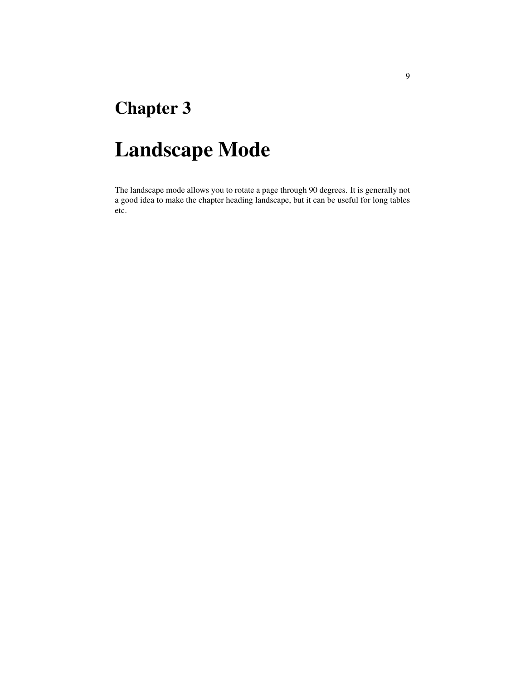## <span id="page-17-0"></span>Chapter 3

## Landscape Mode

The landscape mode allows you to rotate a page through 90 degrees. It is generally not a good idea to make the chapter heading landscape, but it can be useful for long tables etc.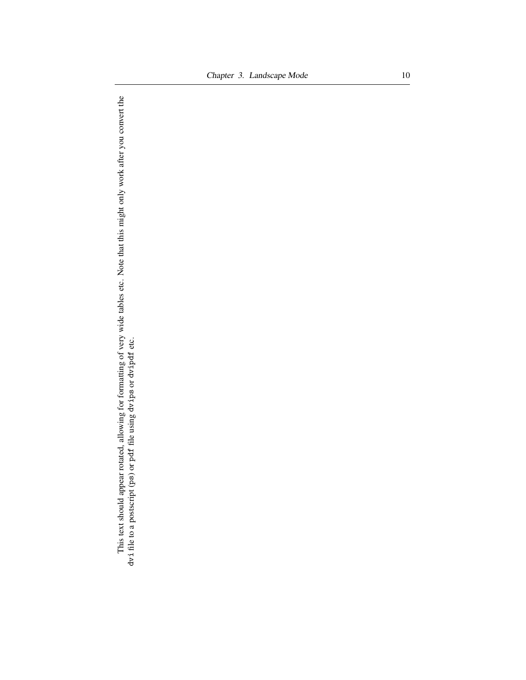This text should appear rotated, allowing for formatting of very wide tables etc. Note that this might only work after you convert the dvi file to a postscript (ps) or pdf file using dvips or dvipdf etc. This text should appear rotated, allowing for formatting of very wide tables etc. Note that this might only work after you convert the dvi file to a postscript (ps) or pdf file using dvips or dvipdf etc.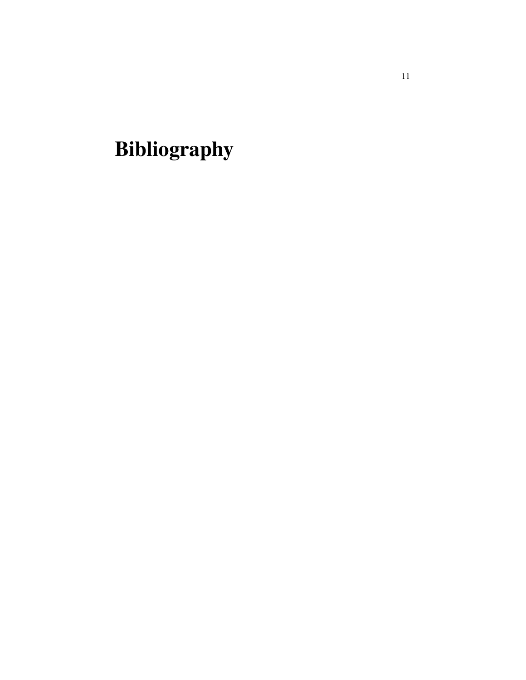<span id="page-19-0"></span>Bibliography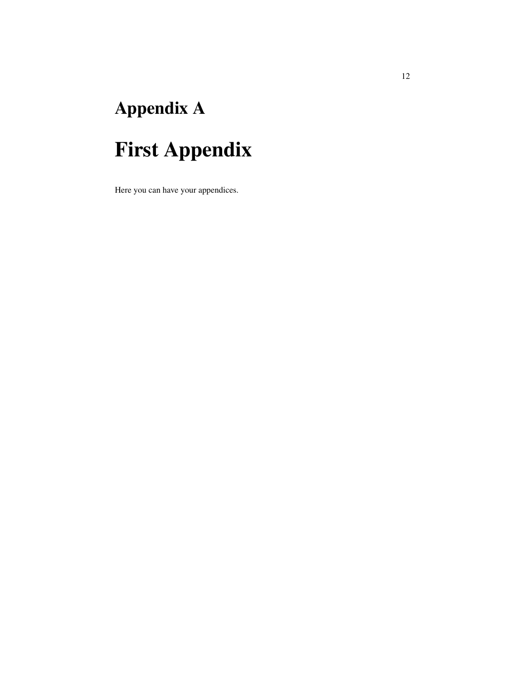# <span id="page-20-0"></span>Appendix A

# First Appendix

Here you can have your appendices.